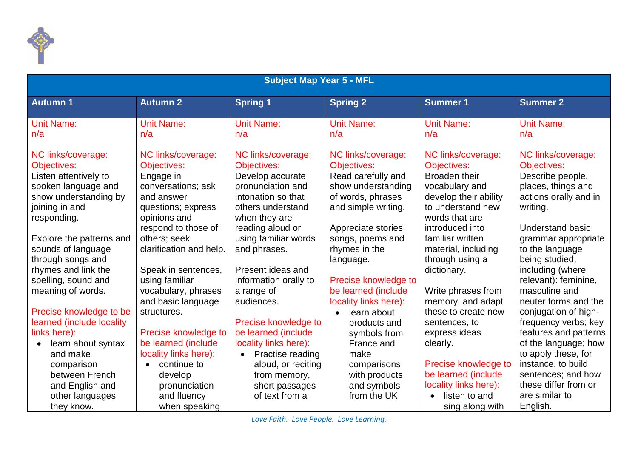

| <b>Subject Map Year 5 - MFL</b> |                          |                       |                       |                            |                         |  |  |
|---------------------------------|--------------------------|-----------------------|-----------------------|----------------------------|-------------------------|--|--|
| <b>Autumn 1</b>                 | <b>Autumn 2</b>          | <b>Spring 1</b>       | <b>Spring 2</b>       | <b>Summer 1</b>            | <b>Summer 2</b>         |  |  |
| <b>Unit Name:</b>               | <b>Unit Name:</b>        | <b>Unit Name:</b>     | <b>Unit Name:</b>     | <b>Unit Name:</b>          | <b>Unit Name:</b>       |  |  |
| n/a                             | n/a                      | n/a                   | n/a                   | n/a                        | n/a                     |  |  |
| NC links/coverage:              | NC links/coverage:       | NC links/coverage:    | NC links/coverage:    | NC links/coverage:         | NC links/coverage:      |  |  |
| <b>Objectives:</b>              | <b>Objectives:</b>       | Objectives:           | <b>Objectives:</b>    | Objectives:                | Objectives:             |  |  |
| Listen attentively to           | Engage in                | Develop accurate      | Read carefully and    | <b>Broaden their</b>       | Describe people,        |  |  |
| spoken language and             | conversations; ask       | pronunciation and     | show understanding    | vocabulary and             | places, things and      |  |  |
| show understanding by           | and answer               | intonation so that    | of words, phrases     | develop their ability      | actions orally and in   |  |  |
| joining in and                  | questions; express       | others understand     | and simple writing.   | to understand new          | writing.                |  |  |
| responding.                     | opinions and             | when they are         |                       | words that are             |                         |  |  |
|                                 | respond to those of      | reading aloud or      | Appreciate stories,   | introduced into            | <b>Understand basic</b> |  |  |
| Explore the patterns and        | others; seek             | using familiar words  | songs, poems and      | familiar written           | grammar appropriate     |  |  |
| sounds of language              | clarification and help.  | and phrases.          | rhymes in the         | material, including        | to the language         |  |  |
| through songs and               |                          |                       | language.             | through using a            | being studied,          |  |  |
| rhymes and link the             | Speak in sentences,      | Present ideas and     |                       | dictionary.                | including (where        |  |  |
| spelling, sound and             | using familiar           | information orally to | Precise knowledge to  |                            | relevant): feminine,    |  |  |
| meaning of words.               | vocabulary, phrases      | a range of            | be learned (include   | Write phrases from         | masculine and           |  |  |
|                                 | and basic language       | audiences.            | locality links here): | memory, and adapt          | neuter forms and the    |  |  |
| Precise knowledge to be         | structures.              |                       | learn about           | these to create new        | conjugation of high-    |  |  |
| learned (include locality       |                          | Precise knowledge to  | products and          | sentences, to              | frequency verbs; key    |  |  |
| links here):                    | Precise knowledge to     | be learned (include   | symbols from          | express ideas              | features and patterns   |  |  |
| learn about syntax              | be learned (include      | locality links here): | France and            | clearly.                   | of the language; how    |  |  |
| and make                        | locality links here):    | Practise reading      | make                  |                            | to apply these, for     |  |  |
| comparison                      | continue to<br>$\bullet$ | aloud, or reciting    | comparisons           | Precise knowledge to       | instance, to build      |  |  |
| between French                  | develop                  | from memory,          | with products         | be learned (include        | sentences; and how      |  |  |
| and English and                 | pronunciation            | short passages        | and symbols           | locality links here):      | these differ from or    |  |  |
| other languages                 | and fluency              | of text from a        | from the UK           | listen to and<br>$\bullet$ | are similar to          |  |  |
| they know.                      | when speaking            |                       |                       | sing along with            | English.                |  |  |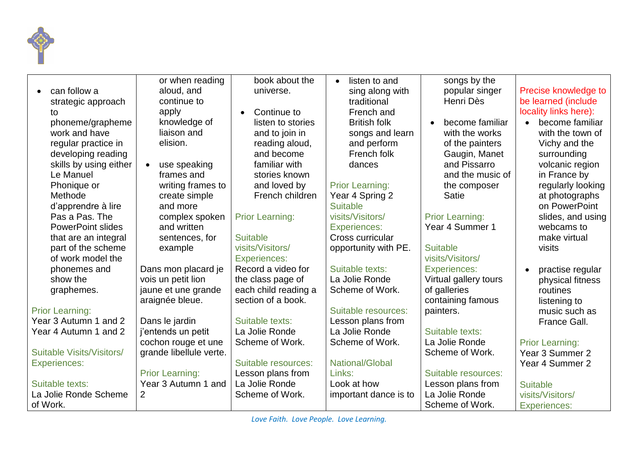

|                                  | or when reading           | book about the         | listen to and<br>$\bullet$ | songs by the           |                               |
|----------------------------------|---------------------------|------------------------|----------------------------|------------------------|-------------------------------|
| can follow a                     | aloud, and                | universe.              | sing along with            | popular singer         | Precise knowledge to          |
| strategic approach               | continue to               |                        | traditional                | Henri Dès              | be learned (include           |
| to                               | apply                     | Continue to            | French and                 |                        | locality links here):         |
| phoneme/grapheme                 | knowledge of              | listen to stories      | <b>British folk</b>        | become familiar        | become familiar               |
| work and have                    | liaison and               | and to join in         | songs and learn            | with the works         | with the town of              |
| regular practice in              | elision.                  | reading aloud,         | and perform                | of the painters        | Vichy and the                 |
| developing reading               |                           | and become             | French folk                | Gaugin, Manet          | surrounding                   |
| skills by using either           | use speaking<br>$\bullet$ | familiar with          | dances                     | and Pissarro           | volcanic region               |
| Le Manuel                        | frames and                | stories known          |                            | and the music of       | in France by                  |
| Phonique or                      | writing frames to         | and loved by           | <b>Prior Learning:</b>     | the composer           | regularly looking             |
| Methode                          | create simple             | French children        | Year 4 Spring 2            | <b>Satie</b>           | at photographs                |
| d'apprendre à lire               | and more                  |                        | <b>Suitable</b>            |                        | on PowerPoint                 |
| Pas a Pas. The                   | complex spoken            | <b>Prior Learning:</b> | visits/Visitors/           | <b>Prior Learning:</b> | slides, and using             |
| <b>PowerPoint slides</b>         | and written               |                        | <b>Experiences:</b>        | Year 4 Summer 1        | webcams to                    |
| that are an integral             | sentences, for            | <b>Suitable</b>        | Cross curricular           |                        | make virtual                  |
| part of the scheme               | example                   | visits/Visitors/       | opportunity with PE.       | <b>Suitable</b>        | visits                        |
| of work model the                |                           | <b>Experiences:</b>    |                            | visits/Visitors/       |                               |
| phonemes and                     | Dans mon placard je       | Record a video for     | Suitable texts:            | <b>Experiences:</b>    | practise regular<br>$\bullet$ |
| show the                         | vois un petit lion        | the class page of      | La Jolie Ronde             | Virtual gallery tours  | physical fitness              |
| graphemes.                       | jaune et une grande       | each child reading a   | Scheme of Work.            | of galleries           | routines                      |
|                                  | araignée bleue.           | section of a book.     |                            | containing famous      | listening to                  |
| <b>Prior Learning:</b>           |                           |                        | Suitable resources:        | painters.              | music such as                 |
| Year 3 Autumn 1 and 2            | Dans le jardin            | Suitable texts:        | Lesson plans from          |                        | France Gall.                  |
| Year 4 Autumn 1 and 2            | j'entends un petit        | La Jolie Ronde         | La Jolie Ronde             | Suitable texts:        |                               |
|                                  | cochon rouge et une       | Scheme of Work.        | Scheme of Work.            | La Jolie Ronde         | <b>Prior Learning:</b>        |
| <b>Suitable Visits/Visitors/</b> | grande libellule verte.   |                        |                            | Scheme of Work.        | Year 3 Summer 2               |
| <b>Experiences:</b>              |                           | Suitable resources:    | National/Global            |                        | Year 4 Summer 2               |
|                                  | <b>Prior Learning:</b>    | Lesson plans from      | Links:                     | Suitable resources:    |                               |
| Suitable texts:                  | Year 3 Autumn 1 and       | La Jolie Ronde         | Look at how                | Lesson plans from      | <b>Suitable</b>               |
| La Jolie Ronde Scheme            | $\overline{2}$            | Scheme of Work.        | important dance is to      | La Jolie Ronde         | visits/Visitors/              |
| of Work.                         |                           |                        |                            | Scheme of Work.        | <b>Experiences:</b>           |